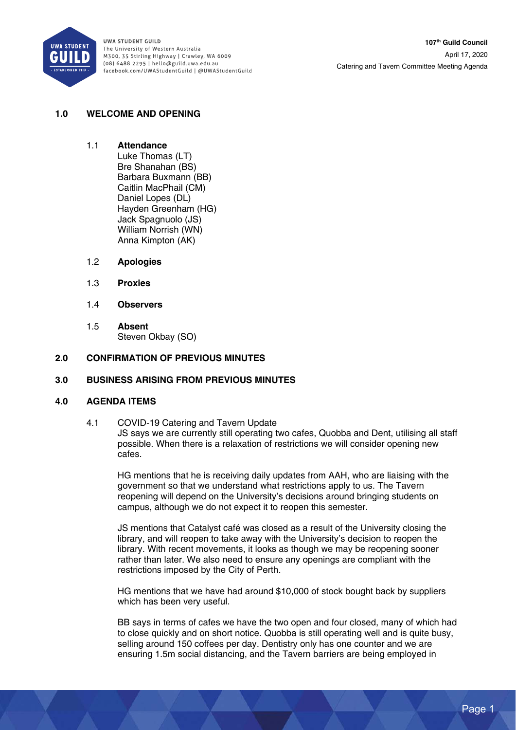

## **1.0 WELCOME AND OPENING**

#### 1.1 **Attendance**

Luke Thomas (LT) Bre Shanahan (BS) Barbara Buxmann (BB) Caitlin MacPhail (CM) Daniel Lopes (DL) Hayden Greenham (HG) Jack Spagnuolo (JS) William Norrish (WN) Anna Kimpton (AK)

### 1.2 **Apologies**

- 1.3 **Proxies**
- 1.4 **Observers**
- 1.5 **Absent**  Steven Okbay (SO)

### **2.0 CONFIRMATION OF PREVIOUS MINUTES**

#### **3.0 BUSINESS ARISING FROM PREVIOUS MINUTES**

#### **4.0 AGENDA ITEMS**

4.1 COVID-19 Catering and Tavern Update JS says we are currently still operating two cafes, Quobba and Dent, utilising all staff possible. When there is a relaxation of restrictions we will consider opening new cafes.

HG mentions that he is receiving daily updates from AAH, who are liaising with the government so that we understand what restrictions apply to us. The Tavern reopening will depend on the University's decisions around bringing students on campus, although we do not expect it to reopen this semester.

JS mentions that Catalyst café was closed as a result of the University closing the library, and will reopen to take away with the University's decision to reopen the library. With recent movements, it looks as though we may be reopening sooner rather than later. We also need to ensure any openings are compliant with the restrictions imposed by the City of Perth.

HG mentions that we have had around \$10,000 of stock bought back by suppliers which has been very useful.

BB says in terms of cafes we have the two open and four closed, many of which had to close quickly and on short notice. Quobba is still operating well and is quite busy, selling around 150 coffees per day. Dentistry only has one counter and we are ensuring 1.5m social distancing, and the Tavern barriers are being employed in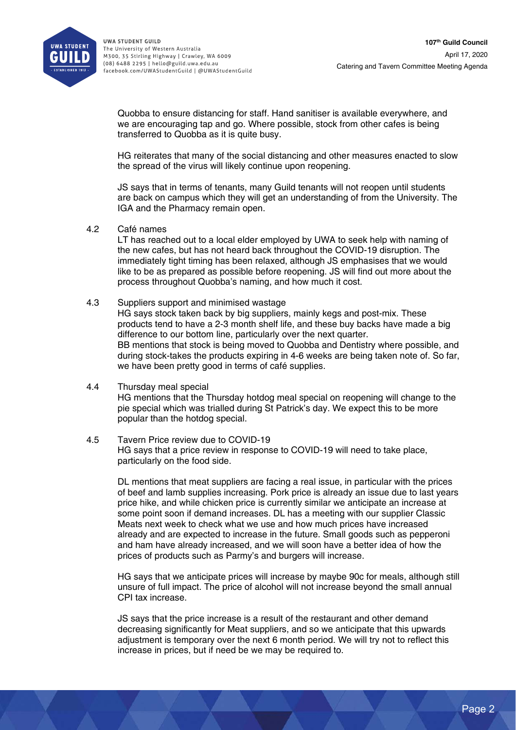

Quobba to ensure distancing for staff. Hand sanitiser is available everywhere, and we are encouraging tap and go. Where possible, stock from other cafes is being transferred to Quobba as it is quite busy.

HG reiterates that many of the social distancing and other measures enacted to slow the spread of the virus will likely continue upon reopening.

JS says that in terms of tenants, many Guild tenants will not reopen until students are back on campus which they will get an understanding of from the University. The IGA and the Pharmacy remain open.

4.2 Café names

LT has reached out to a local elder employed by UWA to seek help with naming of the new cafes, but has not heard back throughout the COVID-19 disruption. The immediately tight timing has been relaxed, although JS emphasises that we would like to be as prepared as possible before reopening. JS will find out more about the process throughout Quobba's naming, and how much it cost.

4.3 Suppliers support and minimised wastage

HG says stock taken back by big suppliers, mainly kegs and post-mix. These products tend to have a 2-3 month shelf life, and these buy backs have made a big difference to our bottom line, particularly over the next quarter. BB mentions that stock is being moved to Quobba and Dentistry where possible, and during stock-takes the products expiring in 4-6 weeks are being taken note of. So far, we have been pretty good in terms of café supplies.

## 4.4 Thursday meal special HG mentions that the Thursday hotdog meal special on reopening will change to the pie special which was trialled during St Patrick's day. We expect this to be more popular than the hotdog special.

4.5 Tavern Price review due to COVID-19 HG says that a price review in response to COVID-19 will need to take place, particularly on the food side.

DL mentions that meat suppliers are facing a real issue, in particular with the prices of beef and lamb supplies increasing. Pork price is already an issue due to last years price hike, and while chicken price is currently similar we anticipate an increase at some point soon if demand increases. DL has a meeting with our supplier Classic Meats next week to check what we use and how much prices have increased already and are expected to increase in the future. Small goods such as pepperoni and ham have already increased, and we will soon have a better idea of how the prices of products such as Parmy's and burgers will increase.

HG says that we anticipate prices will increase by maybe 90c for meals, although still unsure of full impact. The price of alcohol will not increase beyond the small annual CPI tax increase.

JS says that the price increase is a result of the restaurant and other demand decreasing significantly for Meat suppliers, and so we anticipate that this upwards adjustment is temporary over the next 6 month period. We will try not to reflect this increase in prices, but if need be we may be required to.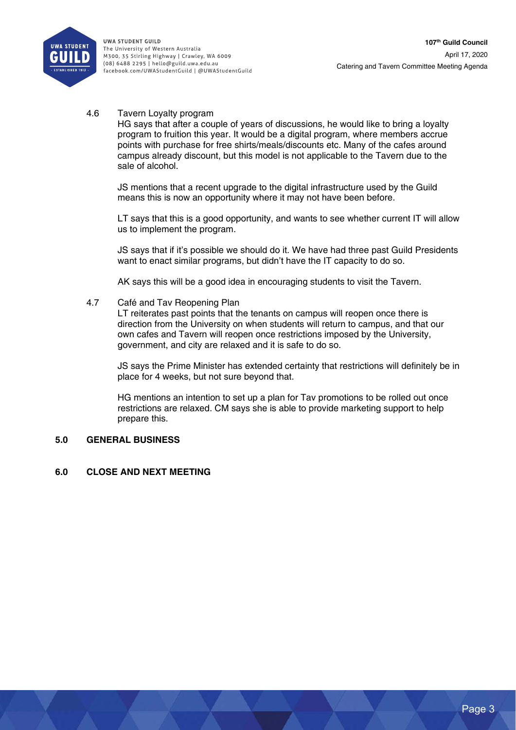

4.6 Tavern Loyalty program

HG says that after a couple of years of discussions, he would like to bring a loyalty program to fruition this year. It would be a digital program, where members accrue points with purchase for free shirts/meals/discounts etc. Many of the cafes around campus already discount, but this model is not applicable to the Tavern due to the sale of alcohol.

JS mentions that a recent upgrade to the digital infrastructure used by the Guild means this is now an opportunity where it may not have been before.

LT says that this is a good opportunity, and wants to see whether current IT will allow us to implement the program.

JS says that if it's possible we should do it. We have had three past Guild Presidents want to enact similar programs, but didn't have the IT capacity to do so.

AK says this will be a good idea in encouraging students to visit the Tavern.

4.7 Café and Tav Reopening Plan

LT reiterates past points that the tenants on campus will reopen once there is direction from the University on when students will return to campus, and that our own cafes and Tavern will reopen once restrictions imposed by the University, government, and city are relaxed and it is safe to do so.

JS says the Prime Minister has extended certainty that restrictions will definitely be in place for 4 weeks, but not sure beyond that.

HG mentions an intention to set up a plan for Tav promotions to be rolled out once restrictions are relaxed. CM says she is able to provide marketing support to help prepare this.

### **5.0 GENERAL BUSINESS**

## **6.0 CLOSE AND NEXT MEETING**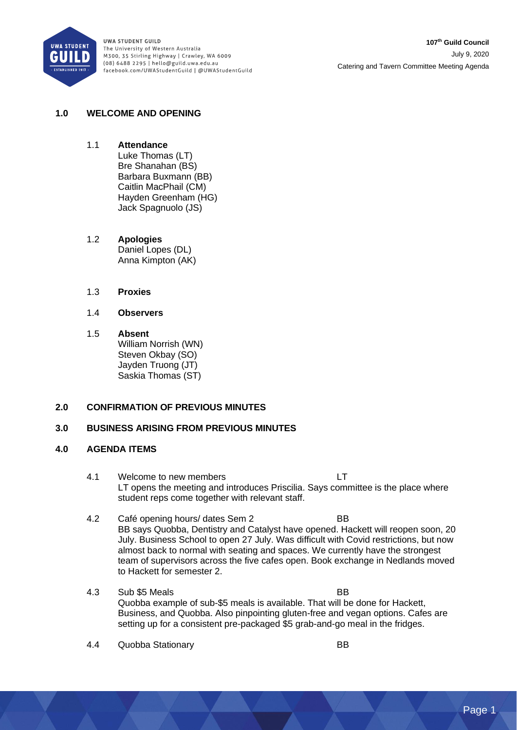

## **1.0 WELCOME AND OPENING**

- 1.1 **Attendance** Luke Thomas (LT) Bre Shanahan (BS) Barbara Buxmann (BB) Caitlin MacPhail (CM) Hayden Greenham (HG) Jack Spagnuolo (JS)
- 1.2 **Apologies** Daniel Lopes (DL) Anna Kimpton (AK)
- 1.3 **Proxies**
- 1.4 **Observers**
- 1.5 **Absent** William Norrish (WN) Steven Okbay (SO) Jayden Truong (JT) Saskia Thomas (ST)

### **2.0 CONFIRMATION OF PREVIOUS MINUTES**

### **3.0 BUSINESS ARISING FROM PREVIOUS MINUTES**

#### **4.0 AGENDA ITEMS**

- 4.1 Welcome to new members LT LT opens the meeting and introduces Priscilia. Says committee is the place where student reps come together with relevant staff.
- 4.2 Café opening hours/ dates Sem 2 BB BB says Quobba, Dentistry and Catalyst have opened. Hackett will reopen soon, 20 July. Business School to open 27 July. Was difficult with Covid restrictions, but now almost back to normal with seating and spaces. We currently have the strongest team of supervisors across the five cafes open. Book exchange in Nedlands moved to Hackett for semester 2.
- 4.3 Sub \$5 Meals BB Quobba example of sub-\$5 meals is available. That will be done for Hackett, Business, and Quobba. Also pinpointing gluten-free and vegan options. Cafes are setting up for a consistent pre-packaged \$5 grab-and-go meal in the fridges.
- 4.4 Quobba Stationary BB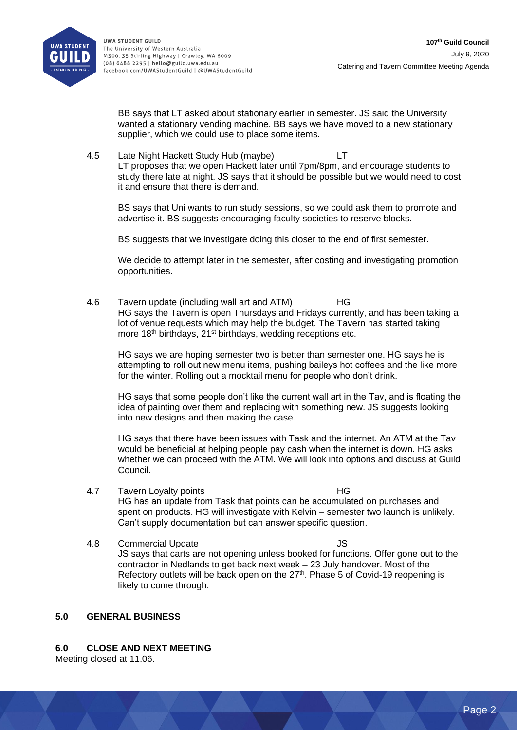

BB says that LT asked about stationary earlier in semester. JS said the University wanted a stationary vending machine. BB says we have moved to a new stationary supplier, which we could use to place some items.

4.5 Late Night Hackett Study Hub (maybe) LT LT proposes that we open Hackett later until 7pm/8pm, and encourage students to study there late at night. JS says that it should be possible but we would need to cost it and ensure that there is demand.

BS says that Uni wants to run study sessions, so we could ask them to promote and advertise it. BS suggests encouraging faculty societies to reserve blocks.

BS suggests that we investigate doing this closer to the end of first semester.

We decide to attempt later in the semester, after costing and investigating promotion opportunities.

4.6 Tavern update (including wall art and ATM) HG HG says the Tavern is open Thursdays and Fridays currently, and has been taking a lot of venue requests which may help the budget. The Tavern has started taking more 18<sup>th</sup> birthdays, 21<sup>st</sup> birthdays, wedding receptions etc.

HG says we are hoping semester two is better than semester one. HG says he is attempting to roll out new menu items, pushing baileys hot coffees and the like more for the winter. Rolling out a mocktail menu for people who don't drink.

HG says that some people don't like the current wall art in the Tav, and is floating the idea of painting over them and replacing with something new. JS suggests looking into new designs and then making the case.

HG says that there have been issues with Task and the internet. An ATM at the Tav would be beneficial at helping people pay cash when the internet is down. HG asks whether we can proceed with the ATM. We will look into options and discuss at Guild Council.

- 4.7 Tavern Loyalty points HG HG has an update from Task that points can be accumulated on purchases and spent on products. HG will investigate with Kelvin – semester two launch is unlikely. Can't supply documentation but can answer specific question.
- 4.8 Commercial Update **JS** JS says that carts are not opening unless booked for functions. Offer gone out to the contractor in Nedlands to get back next week – 23 July handover. Most of the Refectory outlets will be back open on the  $27<sup>th</sup>$ . Phase 5 of Covid-19 reopening is likely to come through.

## **5.0 GENERAL BUSINESS**

### **6.0 CLOSE AND NEXT MEETING**

Meeting closed at 11.06.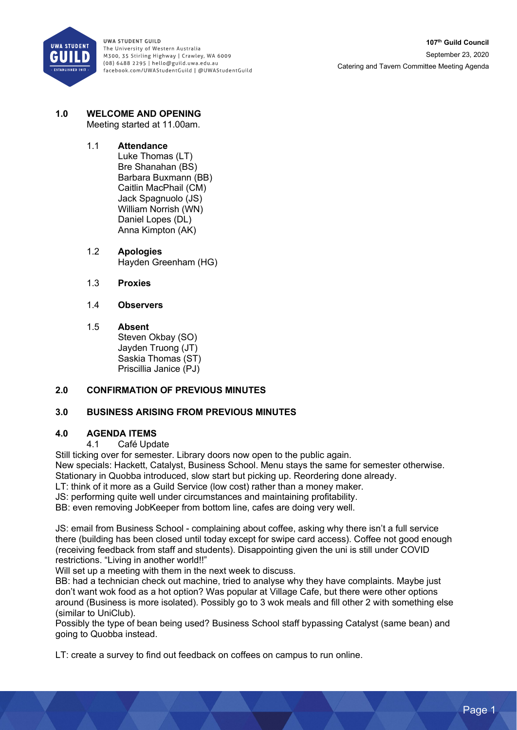

#### **1.0 WELCOME AND OPENING** Meeting started at 11.00am.

# 1.1 **Attendance**

Luke Thomas (LT) Bre Shanahan (BS) Barbara Buxmann (BB) Caitlin MacPhail (CM) Jack Spagnuolo (JS) William Norrish (WN) Daniel Lopes (DL) Anna Kimpton (AK)

1.2 **Apologies** Hayden Greenham (HG)

1.3 **Proxies**

# 1.4 **Observers**

## 1.5 **Absent**

Steven Okbay (SO) Jayden Truong (JT) Saskia Thomas (ST) Priscillia Janice (PJ)

# **2.0 CONFIRMATION OF PREVIOUS MINUTES**

# **3.0 BUSINESS ARISING FROM PREVIOUS MINUTES**

# **4.0 AGENDA ITEMS**

Café Update

Still ticking over for semester. Library doors now open to the public again.

New specials: Hackett, Catalyst, Business School. Menu stays the same for semester otherwise. Stationary in Quobba introduced, slow start but picking up. Reordering done already.

LT: think of it more as a Guild Service (low cost) rather than a money maker.

JS: performing quite well under circumstances and maintaining profitability.

BB: even removing JobKeeper from bottom line, cafes are doing very well.

JS: email from Business School - complaining about coffee, asking why there isn't a full service there (building has been closed until today except for swipe card access). Coffee not good enough (receiving feedback from staff and students). Disappointing given the uni is still under COVID restrictions. "Living in another world!!"

Will set up a meeting with them in the next week to discuss.

BB: had a technician check out machine, tried to analyse why they have complaints. Maybe just don't want wok food as a hot option? Was popular at Village Cafe, but there were other options around (Business is more isolated). Possibly go to 3 wok meals and fill other 2 with something else (similar to UniClub).

Possibly the type of bean being used? Business School staff bypassing Catalyst (same bean) and going to Quobba instead.

LT: create a survey to find out feedback on coffees on campus to run online.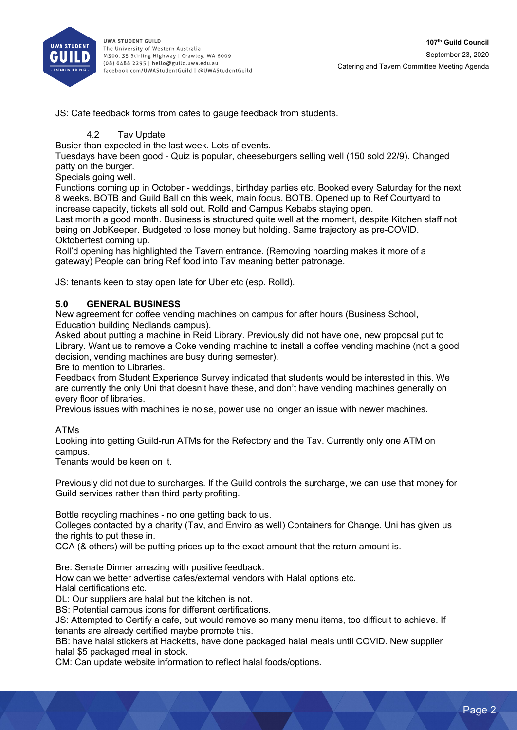

JS: Cafe feedback forms from cafes to gauge feedback from students.

## 4.2 Tav Update

Busier than expected in the last week. Lots of events.

Tuesdays have been good - Quiz is popular, cheeseburgers selling well (150 sold 22/9). Changed patty on the burger.

Specials going well.

Functions coming up in October - weddings, birthday parties etc. Booked every Saturday for the next 8 weeks. BOTB and Guild Ball on this week, main focus. BOTB. Opened up to Ref Courtyard to increase capacity, tickets all sold out. Rolld and Campus Kebabs staying open.

Last month a good month. Business is structured quite well at the moment, despite Kitchen staff not being on JobKeeper. Budgeted to lose money but holding. Same trajectory as pre-COVID. Oktoberfest coming up.

Roll'd opening has highlighted the Tavern entrance. (Removing hoarding makes it more of a gateway) People can bring Ref food into Tav meaning better patronage.

JS: tenants keen to stay open late for Uber etc (esp. Rolld).

# **5.0 GENERAL BUSINESS**

New agreement for coffee vending machines on campus for after hours (Business School, Education building Nedlands campus).

Asked about putting a machine in Reid Library. Previously did not have one, new proposal put to Library. Want us to remove a Coke vending machine to install a coffee vending machine (not a good decision, vending machines are busy during semester).

Bre to mention to Libraries.

Feedback from Student Experience Survey indicated that students would be interested in this. We are currently the only Uni that doesn't have these, and don't have vending machines generally on every floor of libraries.

Previous issues with machines ie noise, power use no longer an issue with newer machines.

### ATMs

Looking into getting Guild-run ATMs for the Refectory and the Tav. Currently only one ATM on campus.

Tenants would be keen on it.

Previously did not due to surcharges. If the Guild controls the surcharge, we can use that money for Guild services rather than third party profiting.

Bottle recycling machines - no one getting back to us.

Colleges contacted by a charity (Tav, and Enviro as well) Containers for Change. Uni has given us the rights to put these in.

CCA (& others) will be putting prices up to the exact amount that the return amount is.

Bre: Senate Dinner amazing with positive feedback.

How can we better advertise cafes/external vendors with Halal options etc.

Halal certifications etc.

DL: Our suppliers are halal but the kitchen is not.

BS: Potential campus icons for different certifications.

JS: Attempted to Certify a cafe, but would remove so many menu items, too difficult to achieve. If tenants are already certified maybe promote this.

BB: have halal stickers at Hacketts, have done packaged halal meals until COVID. New supplier halal \$5 packaged meal in stock.

CM: Can update website information to reflect halal foods/options.